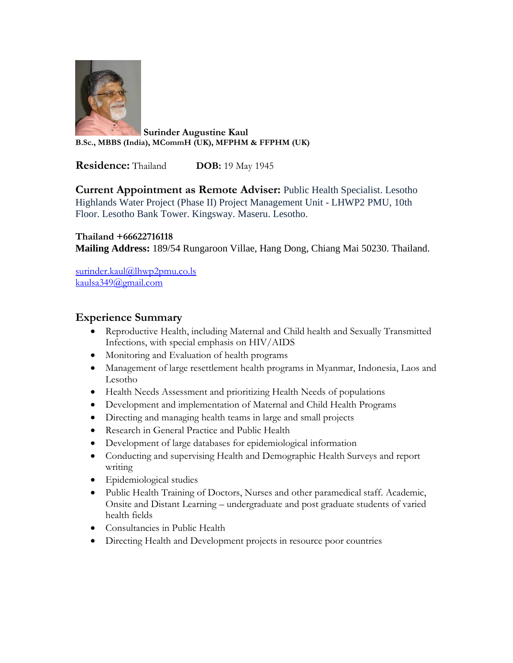

**Surinder Augustine Kaul B.Sc., MBBS (India), MCommH (UK), MFPHM & FFPHM (UK)**

**Residence:** Thailand **DOB:** 19 May 1945

**Current Appointment as Remote Adviser:** Public Health Specialist. Lesotho Highlands Water Project (Phase II) Project Management Unit - LHWP2 PMU, 10th Floor. Lesotho Bank Tower. Kingsway. Maseru. Lesotho.

#### **Thailand +66622716118**

**Mailing Address:** 189/54 Rungaroon Villae, Hang Dong, Chiang Mai 50230. Thailand.

[surinder.kaul@lhwp2pmu.co.ls](mailto:surinder.kaul@lhwp2pmu.co.ls)  [kaulsa349@gmail.com](mailto:kaulsa349@gmail.com)

#### **Experience Summary**

- Reproductive Health, including Maternal and Child health and Sexually Transmitted Infections, with special emphasis on HIV/AIDS
- Monitoring and Evaluation of health programs
- Management of large resettlement health programs in Myanmar, Indonesia, Laos and Lesotho
- Health Needs Assessment and prioritizing Health Needs of populations
- Development and implementation of Maternal and Child Health Programs
- Directing and managing health teams in large and small projects
- Research in General Practice and Public Health
- Development of large databases for epidemiological information
- Conducting and supervising Health and Demographic Health Surveys and report writing
- Epidemiological studies
- Public Health Training of Doctors, Nurses and other paramedical staff. Academic, Onsite and Distant Learning – undergraduate and post graduate students of varied health fields
- Consultancies in Public Health
- Directing Health and Development projects in resource poor countries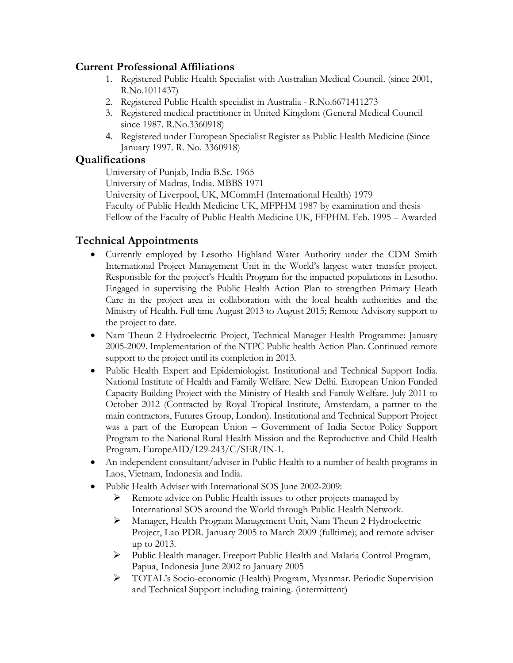## **Current Professional Affiliations**

- 1. Registered Public Health Specialist with Australian Medical Council. (since 2001, R.No.1011437)
- 2. Registered Public Health specialist in Australia R.No.6671411273
- 3. Registered medical practitioner in United Kingdom (General Medical Council since 1987. R.No.3360918)
- 4. Registered under European Specialist Register as Public Health Medicine (Since January 1997. R. No. 3360918)

## **Qualifications**

University of Punjab, India B.Sc. 1965

University of Madras, India. MBBS 1971

University of Liverpool, UK, MCommH (International Health) 1979 Faculty of Public Health Medicine UK, MFPHM 1987 by examination and thesis Fellow of the Faculty of Public Health Medicine UK, FFPHM. Feb. 1995 – Awarded

# **Technical Appointments**

- Currently employed by Lesotho Highland Water Authority under the CDM Smith International Project Management Unit in the World's largest water transfer project. Responsible for the project's Health Program for the impacted populations in Lesotho. Engaged in supervising the Public Health Action Plan to strengthen Primary Heath Care in the project area in collaboration with the local health authorities and the Ministry of Health. Full time August 2013 to August 2015; Remote Advisory support to the project to date.
- Nam Theun 2 Hydroelectric Project, Technical Manager Health Programme: January 2005-2009. Implementation of the NTPC Public health Action Plan. Continued remote support to the project until its completion in 2013.
- Public Health Expert and Epidemiologist. Institutional and Technical Support India. National Institute of Health and Family Welfare. New Delhi. European Union Funded Capacity Building Project with the Ministry of Health and Family Welfare. July 2011 to October 2012 (Contracted by Royal Tropical Institute, Amsterdam, a partner to the main contractors, Futures Group, London). Institutional and Technical Support Project was a part of the European Union – Government of India Sector Policy Support Program to the National Rural Health Mission and the Reproductive and Child Health Program. EuropeAID/129-243/C/SER/IN-1.
- An independent consultant/adviser in Public Health to a number of health programs in Laos, Vietnam, Indonesia and India.
- Public Health Adviser with International SOS June 2002-2009:
	- ➢ Remote advice on Public Health issues to other projects managed by International SOS around the World through Public Health Network.
	- ➢ Manager, Health Program Management Unit, Nam Theun 2 Hydroelectric Project, Lao PDR. January 2005 to March 2009 (fulltime); and remote adviser up to 2013.
	- ➢ Public Health manager. Freeport Public Health and Malaria Control Program, Papua, Indonesia June 2002 to January 2005
	- ➢ TOTAL's Socio-economic (Health) Program, Myanmar. Periodic Supervision and Technical Support including training. (intermittent)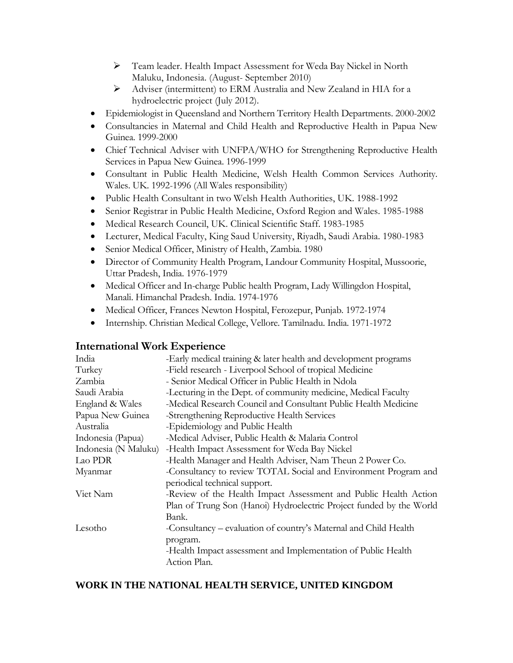- ➢ Team leader. Health Impact Assessment for Weda Bay Nickel in North Maluku, Indonesia. (August- September 2010)
- ➢ Adviser (intermittent) to ERM Australia and New Zealand in HIA for a hydroelectric project (July 2012).
- Epidemiologist in Queensland and Northern Territory Health Departments. 2000-2002
- Consultancies in Maternal and Child Health and Reproductive Health in Papua New Guinea. 1999-2000
- Chief Technical Adviser with UNFPA/WHO for Strengthening Reproductive Health Services in Papua New Guinea. 1996-1999
- Consultant in Public Health Medicine, Welsh Health Common Services Authority. Wales. UK. 1992-1996 (All Wales responsibility)
- Public Health Consultant in two Welsh Health Authorities, UK. 1988-1992
- Senior Registrar in Public Health Medicine, Oxford Region and Wales. 1985-1988
- Medical Research Council, UK. Clinical Scientific Staff. 1983-1985
- Lecturer, Medical Faculty, King Saud University, Riyadh, Saudi Arabia. 1980-1983
- Senior Medical Officer, Ministry of Health, Zambia. 1980
- Director of Community Health Program, Landour Community Hospital, Mussoorie, Uttar Pradesh, India. 1976-1979
- Medical Officer and In-charge Public health Program, Lady Willingdon Hospital, Manali. Himanchal Pradesh. India. 1974-1976
- Medical Officer, Frances Newton Hospital, Ferozepur, Punjab. 1972-1974
- Internship. Christian Medical College, Vellore. Tamilnadu. India. 1971-1972

### **International Work Experience**

| India                | -Early medical training & later health and development programs     |
|----------------------|---------------------------------------------------------------------|
| Turkey               | -Field research - Liverpool School of tropical Medicine             |
| Zambia               | - Senior Medical Officer in Public Health in Ndola                  |
| Saudi Arabia         | -Lecturing in the Dept. of community medicine, Medical Faculty      |
| England & Wales      | -Medical Research Council and Consultant Public Health Medicine     |
| Papua New Guinea     | -Strengthening Reproductive Health Services                         |
| Australia            | -Epidemiology and Public Health                                     |
| Indonesia (Papua)    | -Medical Adviser, Public Health & Malaria Control                   |
| Indonesia (N Maluku) | -Health Impact Assessment for Weda Bay Nickel                       |
| Lao PDR              | -Health Manager and Health Adviser, Nam Theun 2 Power Co.           |
| Myanmar              | -Consultancy to review TOTAL Social and Environment Program and     |
|                      | periodical technical support.                                       |
| Viet Nam             | -Review of the Health Impact Assessment and Public Health Action    |
|                      | Plan of Trung Son (Hanoi) Hydroelectric Project funded by the World |
|                      | Bank.                                                               |
| Lesotho              | -Consultancy – evaluation of country's Maternal and Child Health    |
|                      | program.                                                            |
|                      | -Health Impact assessment and Implementation of Public Health       |
|                      | Action Plan.                                                        |
|                      |                                                                     |

### **WORK IN THE NATIONAL HEALTH SERVICE, UNITED KINGDOM**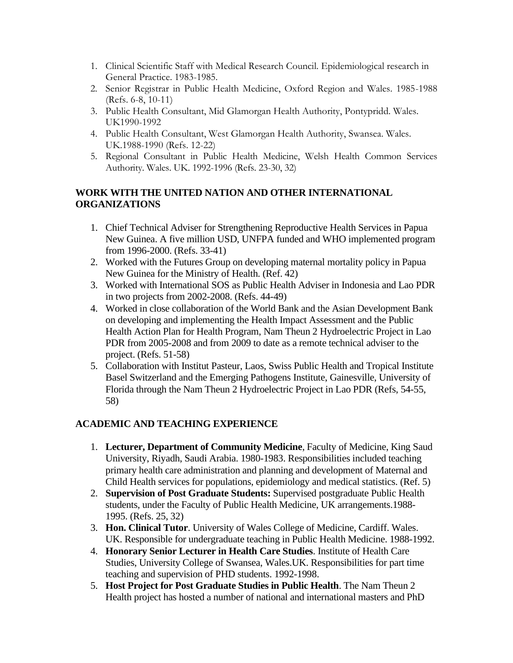- 1. Clinical Scientific Staff with Medical Research Council. Epidemiological research in General Practice. 1983-1985.
- 2. Senior Registrar in Public Health Medicine, Oxford Region and Wales. 1985-1988 (Refs. 6-8, 10-11)
- 3. Public Health Consultant, Mid Glamorgan Health Authority, Pontypridd. Wales. UK1990-1992
- 4. Public Health Consultant, West Glamorgan Health Authority, Swansea. Wales. UK.1988-1990 (Refs. 12-22)
- 5. Regional Consultant in Public Health Medicine, Welsh Health Common Services Authority. Wales. UK. 1992-1996 (Refs. 23-30, 32)

### **WORK WITH THE UNITED NATION AND OTHER INTERNATIONAL ORGANIZATIONS**

- 1. Chief Technical Adviser for Strengthening Reproductive Health Services in Papua New Guinea. A five million USD, UNFPA funded and WHO implemented program from 1996-2000. (Refs. 33-41)
- 2. Worked with the Futures Group on developing maternal mortality policy in Papua New Guinea for the Ministry of Health. (Ref. 42)
- 3. Worked with International SOS as Public Health Adviser in Indonesia and Lao PDR in two projects from 2002-2008. (Refs. 44-49)
- 4. Worked in close collaboration of the World Bank and the Asian Development Bank on developing and implementing the Health Impact Assessment and the Public Health Action Plan for Health Program, Nam Theun 2 Hydroelectric Project in Lao PDR from 2005-2008 and from 2009 to date as a remote technical adviser to the project. (Refs. 51-58)
- 5. Collaboration with Institut Pasteur, Laos, Swiss Public Health and Tropical Institute Basel Switzerland and the Emerging Pathogens Institute, Gainesville, University of Florida through the Nam Theun 2 Hydroelectric Project in Lao PDR (Refs, 54-55, 58)

### **ACADEMIC AND TEACHING EXPERIENCE**

- 1. **Lecturer, Department of Community Medicine**, Faculty of Medicine, King Saud University, Riyadh, Saudi Arabia. 1980-1983. Responsibilities included teaching primary health care administration and planning and development of Maternal and Child Health services for populations, epidemiology and medical statistics. (Ref. 5)
- 2. **Supervision of Post Graduate Students:** Supervised postgraduate Public Health students, under the Faculty of Public Health Medicine, UK arrangements.1988- 1995. (Refs. 25, 32)
- 3. **Hon. Clinical Tutor**. University of Wales College of Medicine, Cardiff. Wales. UK. Responsible for undergraduate teaching in Public Health Medicine. 1988-1992.
- 4. **Honorary Senior Lecturer in Health Care Studies**. Institute of Health Care Studies, University College of Swansea, Wales.UK. Responsibilities for part time teaching and supervision of PHD students. 1992-1998.
- 5. **Host Project for Post Graduate Studies in Public Health**. The Nam Theun 2 Health project has hosted a number of national and international masters and PhD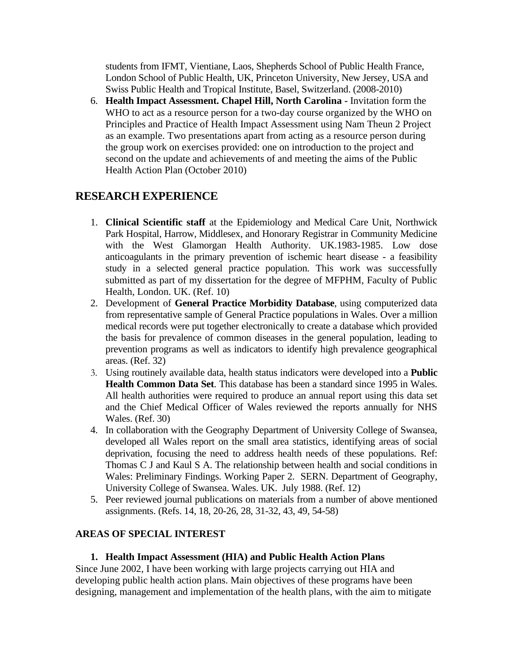students from IFMT, Vientiane, Laos, Shepherds School of Public Health France, London School of Public Health, UK, Princeton University, New Jersey, USA and Swiss Public Health and Tropical Institute, Basel, Switzerland. (2008-2010)

6. **Health Impact Assessment. Chapel Hill, North Carolina -** Invitation form the WHO to act as a resource person for a two-day course organized by the WHO on Principles and Practice of Health Impact Assessment using Nam Theun 2 Project as an example. Two presentations apart from acting as a resource person during the group work on exercises provided: one on introduction to the project and second on the update and achievements of and meeting the aims of the Public Health Action Plan (October 2010)

## **RESEARCH EXPERIENCE**

- 1. **Clinical Scientific staff** at the Epidemiology and Medical Care Unit, Northwick Park Hospital, Harrow, Middlesex, and Honorary Registrar in Community Medicine with the West Glamorgan Health Authority. UK.1983-1985. Low dose anticoagulants in the primary prevention of ischemic heart disease - a feasibility study in a selected general practice population. This work was successfully submitted as part of my dissertation for the degree of MFPHM, Faculty of Public Health, London. UK. (Ref. 10)
- 2. Development of **General Practice Morbidity Database**, using computerized data from representative sample of General Practice populations in Wales. Over a million medical records were put together electronically to create a database which provided the basis for prevalence of common diseases in the general population, leading to prevention programs as well as indicators to identify high prevalence geographical areas. (Ref. 32)
- 3. Using routinely available data, health status indicators were developed into a **Public Health Common Data Set**. This database has been a standard since 1995 in Wales. All health authorities were required to produce an annual report using this data set and the Chief Medical Officer of Wales reviewed the reports annually for NHS Wales. (Ref. 30)
- 4. In collaboration with the Geography Department of University College of Swansea, developed all Wales report on the small area statistics, identifying areas of social deprivation, focusing the need to address health needs of these populations. Ref: Thomas C J and Kaul S A. The relationship between health and social conditions in Wales: Preliminary Findings. Working Paper 2. SERN. Department of Geography, University College of Swansea. Wales. UK. July 1988. (Ref. 12)
- 5. Peer reviewed journal publications on materials from a number of above mentioned assignments. (Refs. 14, 18, 20-26, 28, 31-32, 43, 49, 54-58)

#### **AREAS OF SPECIAL INTEREST**

#### **1. Health Impact Assessment (HIA) and Public Health Action Plans**

Since June 2002, I have been working with large projects carrying out HIA and developing public health action plans. Main objectives of these programs have been designing, management and implementation of the health plans, with the aim to mitigate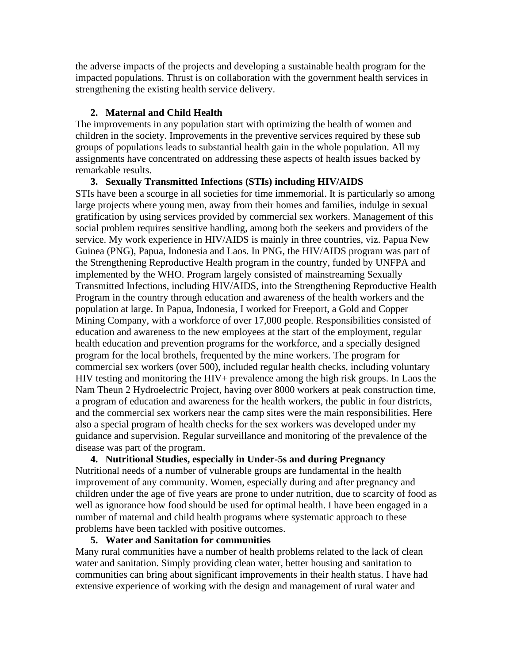the adverse impacts of the projects and developing a sustainable health program for the impacted populations. Thrust is on collaboration with the government health services in strengthening the existing health service delivery.

#### **2. Maternal and Child Health**

The improvements in any population start with optimizing the health of women and children in the society. Improvements in the preventive services required by these sub groups of populations leads to substantial health gain in the whole population. All my assignments have concentrated on addressing these aspects of health issues backed by remarkable results.

**3. Sexually Transmitted Infections (STIs) including HIV/AIDS** STIs have been a scourge in all societies for time immemorial. It is particularly so among large projects where young men, away from their homes and families, indulge in sexual gratification by using services provided by commercial sex workers. Management of this social problem requires sensitive handling, among both the seekers and providers of the service. My work experience in HIV/AIDS is mainly in three countries, viz. Papua New Guinea (PNG), Papua, Indonesia and Laos. In PNG, the HIV/AIDS program was part of the Strengthening Reproductive Health program in the country, funded by UNFPA and implemented by the WHO. Program largely consisted of mainstreaming Sexually Transmitted Infections, including HIV/AIDS, into the Strengthening Reproductive Health Program in the country through education and awareness of the health workers and the population at large. In Papua, Indonesia, I worked for Freeport, a Gold and Copper Mining Company, with a workforce of over 17,000 people. Responsibilities consisted of education and awareness to the new employees at the start of the employment, regular health education and prevention programs for the workforce, and a specially designed program for the local brothels, frequented by the mine workers. The program for commercial sex workers (over 500), included regular health checks, including voluntary HIV testing and monitoring the HIV+ prevalence among the high risk groups. In Laos the Nam Theun 2 Hydroelectric Project, having over 8000 workers at peak construction time, a program of education and awareness for the health workers, the public in four districts, and the commercial sex workers near the camp sites were the main responsibilities. Here also a special program of health checks for the sex workers was developed under my guidance and supervision. Regular surveillance and monitoring of the prevalence of the disease was part of the program.

**4. Nutritional Studies, especially in Under-5s and during Pregnancy** Nutritional needs of a number of vulnerable groups are fundamental in the health improvement of any community. Women, especially during and after pregnancy and children under the age of five years are prone to under nutrition, due to scarcity of food as well as ignorance how food should be used for optimal health. I have been engaged in a number of maternal and child health programs where systematic approach to these problems have been tackled with positive outcomes.

#### **5. Water and Sanitation for communities**

Many rural communities have a number of health problems related to the lack of clean water and sanitation. Simply providing clean water, better housing and sanitation to communities can bring about significant improvements in their health status. I have had extensive experience of working with the design and management of rural water and